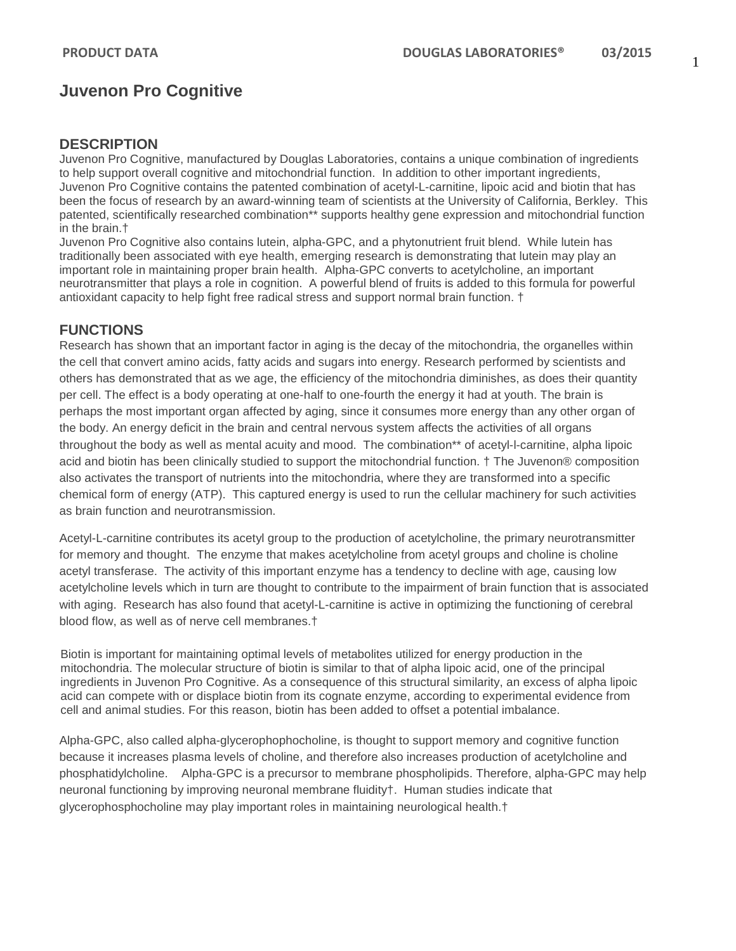# **Juvenon Pro Cognitive**

#### **DESCRIPTION**

Juvenon Pro Cognitive, manufactured by Douglas Laboratories, contains a unique combination of ingredients to help support overall cognitive and mitochondrial function. In addition to other important ingredients, Juvenon Pro Cognitive contains the patented combination of acetyl-L-carnitine, lipoic acid and biotin that has been the focus of research by an award-winning team of scientists at the University of California, Berkley. This patented, scientifically researched combination\*\* supports healthy gene expression and mitochondrial function in the brain.†

Juvenon Pro Cognitive also contains lutein, alpha-GPC, and a phytonutrient fruit blend. While lutein has traditionally been associated with eye health, emerging research is demonstrating that lutein may play an important role in maintaining proper brain health. Alpha-GPC converts to acetylcholine, an important neurotransmitter that plays a role in cognition. A powerful blend of fruits is added to this formula for powerful antioxidant capacity to help fight free radical stress and support normal brain function. †

### **FUNCTIONS**

Research has shown that an important factor in aging is the decay of the mitochondria, the organelles within the cell that convert amino acids, fatty acids and sugars into energy. Research performed by scientists and others has demonstrated that as we age, the efficiency of the mitochondria diminishes, as does their quantity per cell. The effect is a body operating at one-half to one-fourth the energy it had at youth. The brain is perhaps the most important organ affected by aging, since it consumes more energy than any other organ of the body. An energy deficit in the brain and central nervous system affects the activities of all organs throughout the body as well as mental acuity and mood. The combination\*\* of acetyl-l-carnitine, alpha lipoic acid and biotin has been clinically studied to support the mitochondrial function. † The Juvenon® composition also activates the transport of nutrients into the mitochondria, where they are transformed into a specific chemical form of energy (ATP). This captured energy is used to run the cellular machinery for such activities as brain function and neurotransmission.

Acetyl-L-carnitine contributes its acetyl group to the production of acetylcholine, the primary neurotransmitter for memory and thought. The enzyme that makes acetylcholine from acetyl groups and choline is choline acetyl transferase. The activity of this important enzyme has a tendency to decline with age, causing low acetylcholine levels which in turn are thought to contribute to the impairment of brain function that is associated with aging. Research has also found that acetyl-L-carnitine is active in optimizing the functioning of cerebral blood flow, as well as of nerve cell membranes.†

Biotin is important for maintaining optimal levels of metabolites utilized for energy production in the mitochondria. The molecular structure of biotin is similar to that of [alpha lipoic acid,](http://juvenon.com/jhj/vol6no04.htm) one of the principal ingredients in Juvenon Pro Cognitive. As a consequence of this structural similarity, an excess of alpha lipoic acid can compete with or displace biotin from its cognate enzyme, according to experimental evidence from cell and animal studies. For this reason, biotin has been added to offset a potential imbalance.

Alpha-GPC, also called alpha-glycerophophocholine, is thought to support memory and cognitive function because it increases plasma levels of choline, and therefore also increases production of acetylcholine and phosphatidylcholine. Alpha-GPC is a precursor to membrane phospholipids. Therefore, alpha-GPC may help neuronal functioning by improving neuronal membrane fluidity†. Human studies indicate that glycerophosphocholine may play important roles in maintaining neurological health.†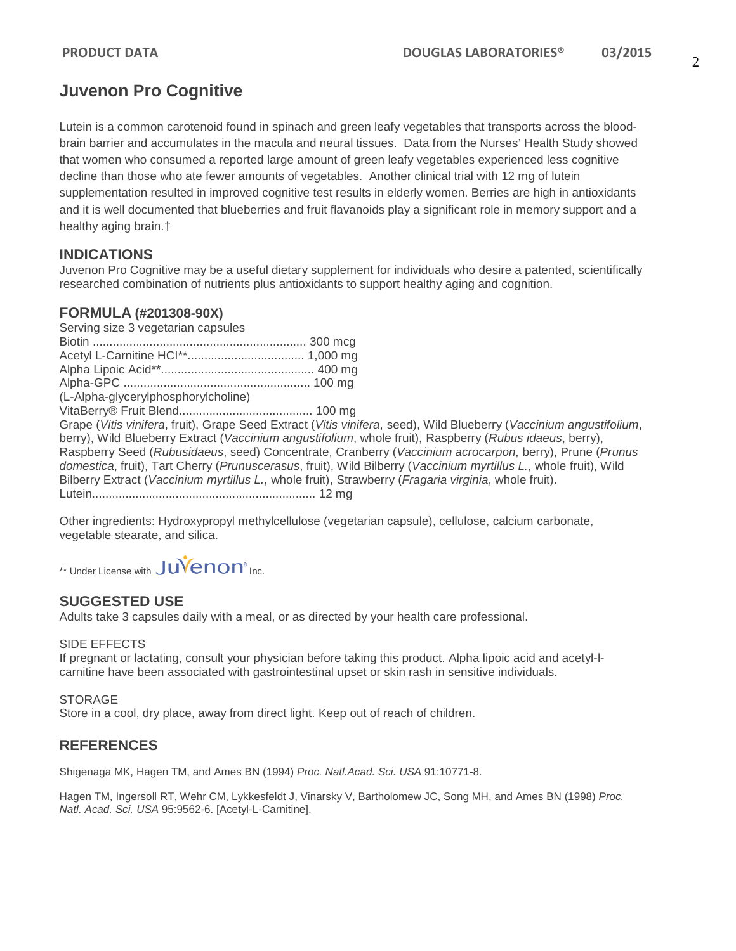# **Juvenon Pro Cognitive**

Lutein is a common carotenoid found in spinach and green leafy vegetables that transports across the bloodbrain barrier and accumulates in the macula and neural tissues. Data from the Nurses' Health Study showed that women who consumed a reported large amount of green leafy vegetables experienced less cognitive decline than those who ate fewer amounts of vegetables. Another clinical trial with 12 mg of lutein supplementation resulted in improved cognitive test results in elderly women. Berries are high in antioxidants and it is well documented that blueberries and fruit flavanoids play a significant role in memory support and a healthy aging brain.†

## **INDICATIONS**

Juvenon Pro Cognitive may be a useful dietary supplement for individuals who desire a patented, scientifically researched combination of nutrients plus antioxidants to support healthy aging and cognition.

## **FORMULA (#201308-90X)**

Serving size 3 vegetarian capsules Biotin ................................................................ 300 mcg Acetyl L-Carnitine HCI\*\*................................... 1,000 mg Alpha Lipoic Acid\*\*.............................................. 400 mg Alpha-GPC ........................................................ 100 mg (L-Alpha-glycerylphosphorylcholine) VitaBerry® Fruit Blend........................................ 100 mg Grape (*Vitis vinifera*, fruit), Grape Seed Extract (*Vitis vinifera*, seed), Wild Blueberry (*Vaccinium angustifolium*, berry), Wild Blueberry Extract (*Vaccinium angustifolium*, whole fruit), Raspberry (*Rubus idaeus*, berry), Raspberry Seed (*Rubusidaeus*, seed) Concentrate, Cranberry (*Vaccinium acrocarpon*, berry), Prune (*Prunus domestica*, fruit), Tart Cherry (*Prunuscerasus*, fruit), Wild Bilberry (*Vaccinium myrtillus L.*, whole fruit), Wild Bilberry Extract (*Vaccinium myrtillus L.*, whole fruit), Strawberry (*Fragaria virginia*, whole fruit). Lutein................................................................... 12 mg

Other ingredients: Hydroxypropyl methylcellulose (vegetarian capsule), cellulose, calcium carbonate, vegetable stearate, and silica.

\*\* Under License with JUVenon<sup>®</sup> Inc.

## **SUGGESTED USE**

Adults take 3 capsules daily with a meal, or as directed by your health care professional.

#### SIDE EFFECTS

If pregnant or lactating, consult your physician before taking this product. Alpha lipoic acid and acetyl-lcarnitine have been associated with gastrointestinal upset or skin rash in sensitive individuals.

**STORAGE** 

Store in a cool, dry place, away from direct light. Keep out of reach of children.

## **REFERENCES**

Shigenaga MK, Hagen TM, and Ames BN (1994) *Proc. Natl.Acad. Sci. USA* 91:10771-8.

Hagen TM, Ingersoll RT, Wehr CM, Lykkesfeldt J, Vinarsky V, Bartholomew JC, Song MH, and Ames BN (1998) *Proc. Natl. Acad. Sci. USA* 95:9562-6. [Acetyl-L-Carnitine].